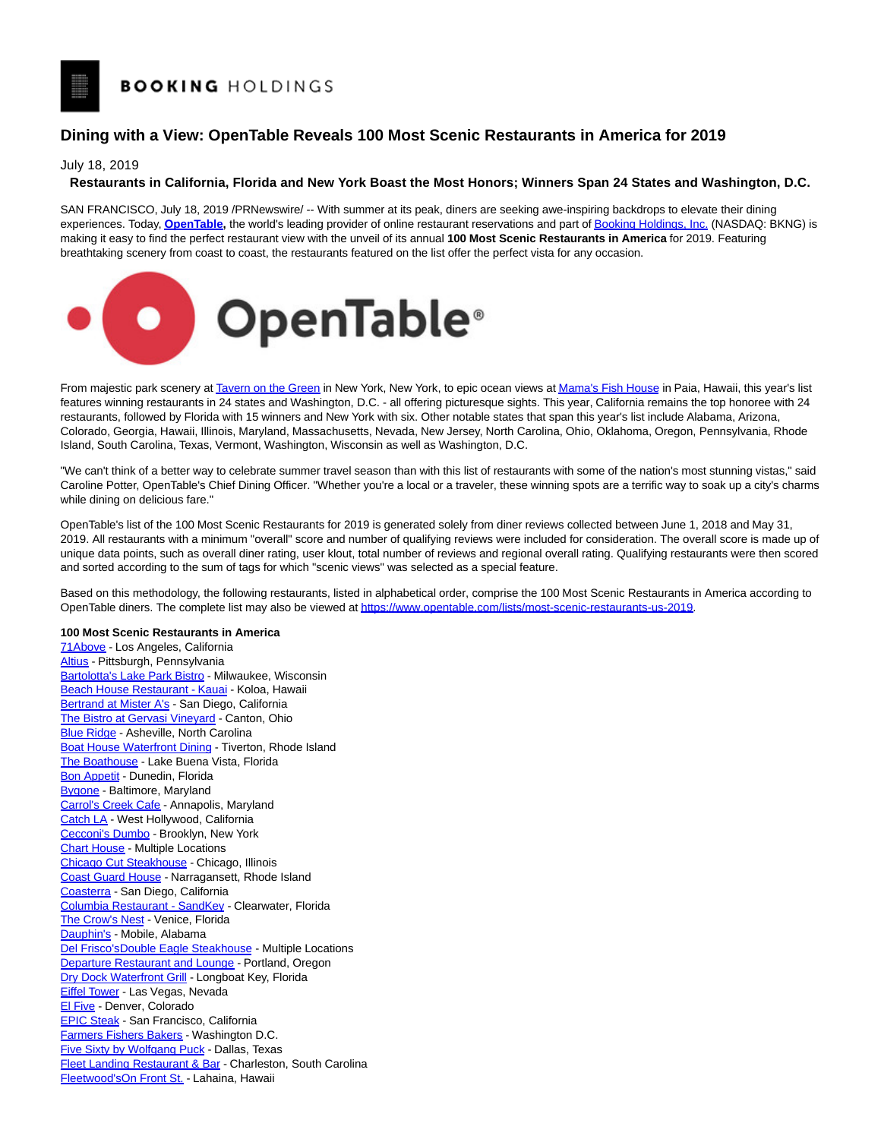## **Dining with a View: OpenTable Reveals 100 Most Scenic Restaurants in America for 2019**

July 18, 2019

## **Restaurants in California, Florida and New York Boast the Most Honors; Winners Span 24 States and Washington, D.C.**

SAN FRANCISCO, July 18, 2019 /PRNewswire/ -- With summer at its peak, diners are seeking awe-inspiring backdrops to elevate their dining experiences. Today, **[OpenTable,](https://c212.net/c/link/?t=0&l=en&o=2525265-1&h=705038461&u=http%3A%2F%2Fwww.opentable.com%2F&a=OpenTable)** the world's leading provider of online restaurant reservations and part o[f Booking Holdings, Inc.](https://c212.net/c/link/?t=0&l=en&o=2525265-1&h=16966724&u=https%3A%2F%2Fwww.bookingholdings.com%2F&a=Booking+Holdings%2C+Inc) [\(](https://c212.net/c/link/?t=0&l=en&o=2525265-1&h=1492755025&u=https%3A%2F%2Fwww.bookingholdings.com%2F&a=.)NASDAQ: BKNG) is making it easy to find the perfect restaurant view with the unveil of its annual **100 Most Scenic Restaurants in America** for 2019. Featuring breathtaking scenery from coast to coast, the restaurants featured on the list offer the perfect vista for any occasion.



From majestic park scenery a[t Tavern on the Green i](https://c212.net/c/link/?t=0&l=en&o=2525265-1&h=483174435&u=https%3A%2F%2Fwww.opentable.com%2Ftavern-on-the-green&a=Tavern+on+the+Green)n New York, New York, to epic ocean views a[t Mama's Fish House i](https://c212.net/c/link/?t=0&l=en&o=2525265-1&h=1162972982&u=https%3A%2F%2Fwww.opentable.com%2Fmamas-fish-house&a=Mama%27s+Fish+House)n Paia, Hawaii, this year's list features winning restaurants in 24 states and Washington, D.C. - all offering picturesque sights. This year, California remains the top honoree with 24 restaurants, followed by Florida with 15 winners and New York with six. Other notable states that span this year's list include Alabama, Arizona, Colorado, Georgia, Hawaii, Illinois, Maryland, Massachusetts, Nevada, New Jersey, North Carolina, Ohio, Oklahoma, Oregon, Pennsylvania, Rhode Island, South Carolina, Texas, Vermont, Washington, Wisconsin as well as Washington, D.C.

"We can't think of a better way to celebrate summer travel season than with this list of restaurants with some of the nation's most stunning vistas," said Caroline Potter, OpenTable's Chief Dining Officer. "Whether you're a local or a traveler, these winning spots are a terrific way to soak up a city's charms while dining on delicious fare."

OpenTable's list of the 100 Most Scenic Restaurants for 2019 is generated solely from diner reviews collected between June 1, 2018 and May 31, 2019. All restaurants with a minimum "overall" score and number of qualifying reviews were included for consideration. The overall score is made up of unique data points, such as overall diner rating, user klout, total number of reviews and regional overall rating. Qualifying restaurants were then scored and sorted according to the sum of tags for which "scenic views" was selected as a special feature.

Based on this methodology, the following restaurants, listed in alphabetical order, comprise the 100 Most Scenic Restaurants in America according to OpenTable diners. The complete list may also be viewed a[t https://www.opentable.com/lists/most-scenic-restaurants-us-2019.](https://c212.net/c/link/?t=0&l=en&o=2525265-1&h=1063248442&u=https%3A%2F%2Fwww.opentable.com%2Flists%2Fmost-scenic-restaurants-us-2019&a=https%3A%2F%2Fwww.opentable.com%2Flists%2Fmost-scenic-restaurants-us-2019)

## **100 Most Scenic Restaurants in America**

[71Above -](https://c212.net/c/link/?t=0&l=en&o=2525265-1&h=3940428710&u=https%3A%2F%2Fwww.opentable.com%2Fr%2F71above-los-angeles&a=71Above) Los Angeles, California [Altius -](https://c212.net/c/link/?t=0&l=en&o=2525265-1&h=1910900705&u=https%3A%2F%2Fwww.opentable.com%2Fr%2Faltius-pittsburgh&a=Altius) Pittsburgh, Pennsylvania [Bartolotta's Lake Park Bistro -](https://c212.net/c/link/?t=0&l=en&o=2525265-1&h=2765982026&u=https%3A%2F%2Fwww.opentable.com%2Fbartolottas-lake-park-bistro&a=Bartolotta%27s+Lake+Park+Bistro) Milwaukee, Wisconsin [Beach House Restaurant - Kauai -](https://c212.net/c/link/?t=0&l=en&o=2525265-1&h=3957200719&u=https%3A%2F%2Fwww.opentable.com%2Fr%2Fbeach-house-restaurant-kauai-koloa-2&a=Beach+House+Restaurant+-+Kauai) Koloa, Hawaii [Bertrand at Mister A's -](https://c212.net/c/link/?t=0&l=en&o=2525265-1&h=2169603925&u=https%3A%2F%2Fwww.opentable.com%2Fr%2Fbertrand-at-mister-as-san-diego&a=Bertrand+at+Mister+A%27s) San Diego, California [The Bistro at Gervasi Vineyard -](https://c212.net/c/link/?t=0&l=en&o=2525265-1&h=1839740028&u=https%3A%2F%2Fwww.opentable.com%2Fthe-bistro-at-gervasi-vineyard&a=The+Bistro+at+Gervasi+Vineyard) Canton, Ohio [Blue Ridge -](https://c212.net/c/link/?t=0&l=en&o=2525265-1&h=990074220&u=https%3A%2F%2Fwww.opentable.com%2Fblue-ridge&a=Blue+Ridge) Asheville, North Carolina [Boat House Waterfront Dining -](https://c212.net/c/link/?t=0&l=en&o=2525265-1&h=1447067594&u=https%3A%2F%2Fwww.opentable.com%2Fboat-house-waterfront-dining&a=Boat+House+Waterfront+Dining) Tiverton, Rhode Island [The Boathouse -](https://c212.net/c/link/?t=0&l=en&o=2525265-1&h=134584201&u=https%3A%2F%2Fwww.opentable.com%2Fthe-boathouse-lake-buena-vista&a=The+Boathouse) Lake Buena Vista, Florida [Bon Appetit -](https://c212.net/c/link/?t=0&l=en&o=2525265-1&h=3929147605&u=https%3A%2F%2Fwww.opentable.com%2Fbon-appetit&a=Bon+Appetit) Dunedin, Florida [Bygone -](https://c212.net/c/link/?t=0&l=en&o=2525265-1&h=3174560816&u=https%3A%2F%2Fwww.opentable.com%2Fr%2Fbygone-baltimore&a=Bygone) Baltimore, Maryland [Carrol's Creek Cafe -](https://c212.net/c/link/?t=0&l=en&o=2525265-1&h=3410755260&u=https%3A%2F%2Fwww.opentable.com%2Fcarrols-creek-cafe&a=Carrol%27s+Creek+Cafe) Annapolis, Maryland [Catch LA -](https://c212.net/c/link/?t=0&l=en&o=2525265-1&h=551331893&u=https%3A%2F%2Fwww.opentable.com%2Fr%2Fcatch-la-west-hollywood&a=Catch+LA) West Hollywood, California [Cecconi's Dumbo -](https://c212.net/c/link/?t=0&l=en&o=2525265-1&h=342020678&u=https%3A%2F%2Fwww.opentable.com%2Fr%2Fcecconis-dumbo-brooklyn&a=Cecconi%27s+Dumbo) Brooklyn, New York [Chart House -](https://c212.net/c/link/?t=0&l=en&o=2525265-1&h=1695689713&u=https%3A%2F%2Fwww.opentable.com%2Flists%2Fmost-scenic-restaurants-us-2019&a=Chart+House) Multiple Locations [Chicago Cut Steakhouse -](https://c212.net/c/link/?t=0&l=en&o=2525265-1&h=2096832277&u=https%3A%2F%2Fwww.opentable.com%2Fchicago-cut-steakhouse&a=Chicago+Cut+Steakhouse) Chicago, Illinois [Coast Guard House -](https://c212.net/c/link/?t=0&l=en&o=2525265-1&h=1649852372&u=https%3A%2F%2Fwww.opentable.com%2Fcoast-guard-house&a=Coast+Guard+House) Narragansett, Rhode Island [Coasterra -](https://c212.net/c/link/?t=0&l=en&o=2525265-1&h=3779138322&u=https%3A%2F%2Fwww.opentable.com%2Fcoasterra&a=Coasterra) San Diego, California [Columbia Restaurant - SandKey -](https://c212.net/c/link/?t=0&l=en&o=2525265-1&h=383027600&u=https%3A%2F%2Fwww.opentable.com%2Fcolumbia-restaurant-sandkey&a=Columbia+Restaurant+-+SandKey) Clearwater, Florida [The Crow's Nest -](https://c212.net/c/link/?t=0&l=en&o=2525265-1&h=470701619&u=https%3A%2F%2Fwww.opentable.com%2Fthe-crows-nest&a=The+Crow%27s+Nest) Venice, Florida [Dauphin's -](https://c212.net/c/link/?t=0&l=en&o=2525265-1&h=3306130261&u=https%3A%2F%2Fwww.opentable.com%2Fr%2Fdauphins-mobile&a=Dauphin%27s) Mobile, Alabama [Del Frisco'sDouble Eagle Steakhouse -](https://c212.net/c/link/?t=0&l=en&o=2525265-1&h=552422675&u=https%3A%2F%2Fwww.opentable.com%2Flists%2Fmost-scenic-restaurants-us-2019&a=Del+Frisco%27s+Double+Eagle+Steakhouse) Multiple Locations [Departure Restaurant and Lounge -](https://c212.net/c/link/?t=0&l=en&o=2525265-1&h=1229723380&u=https%3A%2F%2Fwww.opentable.com%2Fdeparture-restaurant-and-lounge&a=Departure+Restaurant+and+Lounge) Portland, Oregon [Dry Dock Waterfront Grill -](https://c212.net/c/link/?t=0&l=en&o=2525265-1&h=2151562169&u=https%3A%2F%2Fwww.opentable.com%2Fr%2Fdrydock-waterfront-grill-longboat-key&a=Dry+Dock+Waterfront+Grill) Longboat Key, Florida [Eiffel Tower -](https://c212.net/c/link/?t=0&l=en&o=2525265-1&h=515243346&u=https%3A%2F%2Fwww.opentable.com%2Feiffel-tower&a=Eiffel+Tower) Las Vegas, Nevada [El Five -](https://c212.net/c/link/?t=0&l=en&o=2525265-1&h=510577528&u=https%3A%2F%2Fwww.opentable.com%2Fr%2Fel-five-denver&a=El+Five) Denver, Colorado [EPIC Steak -](https://c212.net/c/link/?t=0&l=en&o=2525265-1&h=3881306724&u=https%3A%2F%2Fwww.opentable.com%2Fr%2Fepic-steak-san-francisco&a=EPIC+Steak) San Francisco, California [Farmers Fishers Bakers -](https://c212.net/c/link/?t=0&l=en&o=2525265-1&h=110530&u=https%3A%2F%2Fwww.opentable.com%2Fr%2Ffarmers-fishers-bakers-washington&a=Farmers+Fishers+Bakers) Washington D.C. [Five Sixty by Wolfgang Puck -](https://c212.net/c/link/?t=0&l=en&o=2525265-1&h=2499349537&u=https%3A%2F%2Fwww.opentable.com%2Ffive-sixty-by-wolfgang-puck&a=Five+Sixty+by+Wolfgang+Puck) Dallas, Texas [Fleet Landing Restaurant & Bar -](https://c212.net/c/link/?t=0&l=en&o=2525265-1&h=1084728310&u=https%3A%2F%2Fwww.opentable.com%2Ffleet-landing-restaurant-and-bar&a=Fleet+Landing+Restaurant+%26+Bar) Charleston, South Carolina [Fleetwood'sOn Front St. -](https://c212.net/c/link/?t=0&l=en&o=2525265-1&h=2037977309&u=https%3A%2F%2Fwww.opentable.com%2Ffleetwoods-on-front-st&a=Fleetwood%27s+On+Front+St.) Lahaina, Hawaii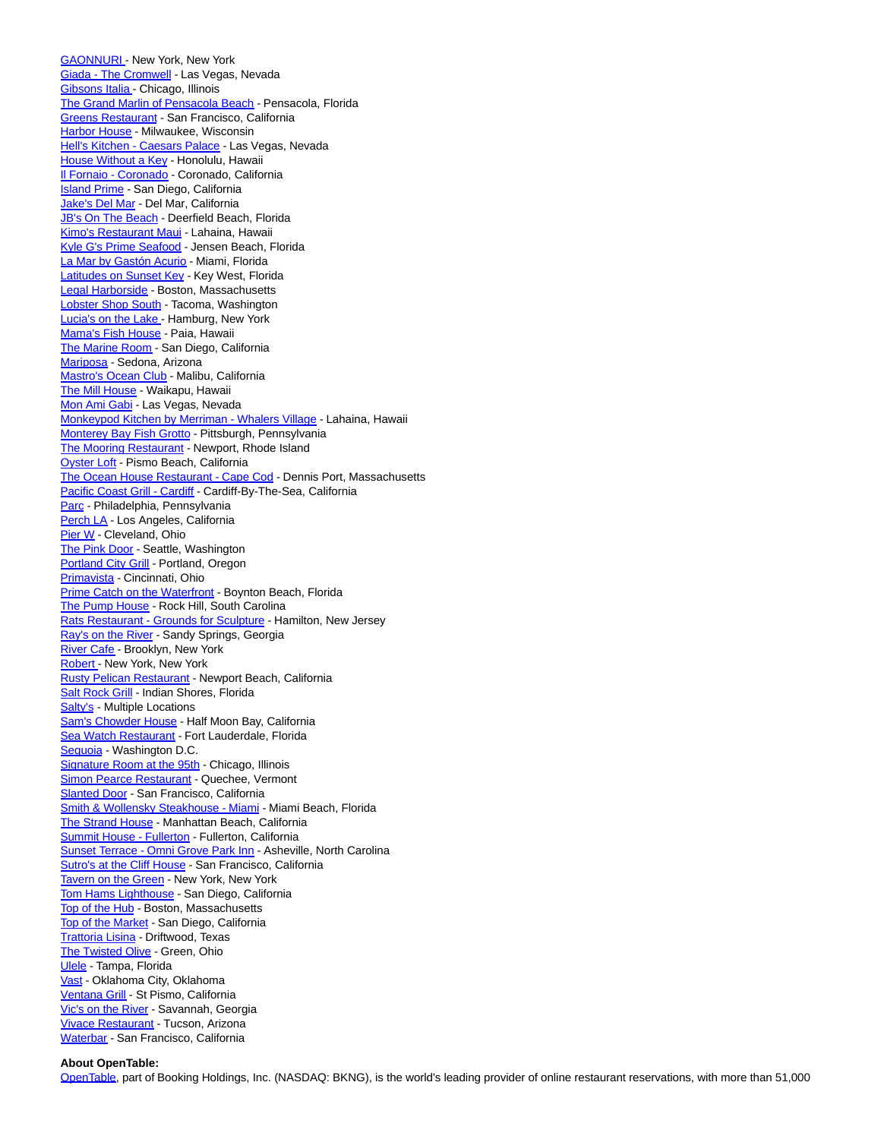[GAONNURI -](https://c212.net/c/link/?t=0&l=en&o=2525265-1&h=705635366&u=https%3A%2F%2Fwww.opentable.com%2Fgaonnuri&a=GAONNURI+) New York, New York [Giada - The Cromwell -](https://c212.net/c/link/?t=0&l=en&o=2525265-1&h=3154994241&u=https%3A%2F%2Fwww.opentable.com%2Fgiada-the-cromwell&a=Giada+-+The+Cromwell) Las Vegas, Nevada [Gibsons Italia](https://c212.net/c/link/?t=0&l=en&o=2525265-1&h=3077422655&u=https%3A%2F%2Fwww.opentable.com%2Fr%2Fgibsons-italia-chicago&a=Gibsons+Italia) [-](https://c212.net/c/link/?t=0&l=en&o=2525265-1&h=3655316111&u=https%3A%2F%2Fwww.opentable.com%2Fr%2Fgibsons-italia-chicago&a=%C2%A0) Chicago, Illinois [The Grand Marlin of Pensacola Beach -](https://c212.net/c/link/?t=0&l=en&o=2525265-1&h=3725190987&u=https%3A%2F%2Fwww.opentable.com%2Fthe-grand-marlin&a=The+Grand+Marlin+of+Pensacola+Beach) Pensacola, Florida [Greens Restaurant -](https://c212.net/c/link/?t=0&l=en&o=2525265-1&h=1780078877&u=https%3A%2F%2Fwww.opentable.com%2Fgreens-restaurant-san-francisco&a=Greens+Restaurant) San Francisco, California [Harbor House -](https://c212.net/c/link/?t=0&l=en&o=2525265-1&h=1764404832&u=https%3A%2F%2Fwww.opentable.com%2Fr%2Fharbor-house-milwaukee&a=Harbor+House) Milwaukee, Wisconsin [Hell's Kitchen - Caesars Palace -](https://c212.net/c/link/?t=0&l=en&o=2525265-1&h=1836020454&u=https%3A%2F%2Fwww.opentable.com%2Fr%2Fhells-kitchen-caesars-palace-las-vegas&a=Hell%27s+Kitchen+-+Caesars+Palace) Las Vegas, Nevada [House Without a Key -](https://c212.net/c/link/?t=0&l=en&o=2525265-1&h=4083788274&u=https%3A%2F%2Fwww.opentable.com%2Fr%2Fhouse-without-a-key-honolulu&a=House+Without+a+Key) Honolulu, Hawaii [Il Fornaio - Coronado -](https://c212.net/c/link/?t=0&l=en&o=2525265-1&h=1883896299&u=https%3A%2F%2Fwww.opentable.com%2Fr%2Fil-fornaio-coronado&a=Il+Fornaio+-+Coronado) Coronado, California [Island Prime -](https://c212.net/c/link/?t=0&l=en&o=2525265-1&h=3843741934&u=https%3A%2F%2Fwww.opentable.com%2Fisland-prime&a=Island+Prime) San Diego, California [Jake's Del Mar -](https://c212.net/c/link/?t=0&l=en&o=2525265-1&h=2493768134&u=https%3A%2F%2Fwww.opentable.com%2Fjakes-del-mar&a=Jake%27s+Del+Mar) Del Mar, California [JB's On The Beach -](https://c212.net/c/link/?t=0&l=en&o=2525265-1&h=3593295532&u=https%3A%2F%2Fwww.opentable.com%2Fjbs-on-the-beach&a=JB%27s+On+The+Beach) Deerfield Beach, Florida [Kimo's Restaurant Maui -](https://c212.net/c/link/?t=0&l=en&o=2525265-1&h=2108350874&u=https%3A%2F%2Fwww.opentable.com%2Fkimos-restaurant-maui&a=Kimo%27s+Restaurant+Maui) Lahaina, Hawaii [Kyle G's Prime Seafood -](https://c212.net/c/link/?t=0&l=en&o=2525265-1&h=774073744&u=https%3A%2F%2Fwww.opentable.com%2Fr%2Fkyle-gs-prime-seafood-jensen-beach&a=Kyle+G%27s+Prime+Seafood) Jensen Beach, Florida [La Mar by Gastón Acurio -](https://c212.net/c/link/?t=0&l=en&o=2525265-1&h=490825485&u=https%3A%2F%2Fwww.opentable.com%2Fla-mar-by-gaston-acurio&a=La+Mar+by+Gast%C3%B3n+Acurio) Miami, Florida [Latitudes on Sunset Key -](https://c212.net/c/link/?t=0&l=en&o=2525265-1&h=105696904&u=https%3A%2F%2Fwww.opentable.com%2Fr%2Flatitudes-on-sunset-key-key-west&a=Latitudes+on+Sunset+Key) Key West, Florida [Legal Harborside -](https://c212.net/c/link/?t=0&l=en&o=2525265-1&h=3272496212&u=https%3A%2F%2Fwww.opentable.com%2Fr%2Flegal-harborside-floor-1-restaurant-and-market-boston&a=Legal+Harborside) Boston, Massachusetts [Lobster Shop South -](https://c212.net/c/link/?t=0&l=en&o=2525265-1&h=4058712068&u=https%3A%2F%2Fwww.opentable.com%2Flobster-shop-south&a=Lobster+Shop+South) Tacoma, Washington [Lucia's on the Lake](https://c212.net/c/link/?t=0&l=en&o=2525265-1&h=2163584487&u=https%3A%2F%2Fwww.opentable.com%2Fr%2Flucias-on-the-lake-hamburg-2&a=Lucia%27s+on+the+Lake) [-](https://c212.net/c/link/?t=0&l=en&o=2525265-1&h=1226449541&u=https%3A%2F%2Fwww.opentable.com%2Fr%2Flucias-on-the-lake-hamburg-2&a=%C2%A0) Hamburg, New York [Mama's Fish House -](https://c212.net/c/link/?t=0&l=en&o=2525265-1&h=1162972982&u=https%3A%2F%2Fwww.opentable.com%2Fmamas-fish-house&a=Mama%27s+Fish+House) Paia, Hawaii [The Marine Room -](https://c212.net/c/link/?t=0&l=en&o=2525265-1&h=2128228430&u=https%3A%2F%2Fwww.opentable.com%2Fthe-marine-room&a=The+Marine+Room) San Diego, California [Mariposa -](https://c212.net/c/link/?t=0&l=en&o=2525265-1&h=641205303&u=https%3A%2F%2Fwww.opentable.com%2Fmariposa-sedona&a=Mariposa) Sedona, Arizona [Mastro's Ocean Club -](https://c212.net/c/link/?t=0&l=en&o=2525265-1&h=1674373823&u=https%3A%2F%2Fwww.opentable.com%2Fr%2Fmastros-ocean-club-malibu&a=Mastro%27s+Ocean+Club) Malibu, California [The Mill House -](https://c212.net/c/link/?t=0&l=en&o=2525265-1&h=1636823764&u=https%3A%2F%2Fwww.opentable.com%2Fthe-mill-house&a=The+Mill+House) Waikapu, Hawaii [Mon Ami Gabi -](https://c212.net/c/link/?t=0&l=en&o=2525265-1&h=1533082821&u=https%3A%2F%2Fwww.opentable.com%2Fmon-ami-gabi-las-vegas-main-dining-room&a=Mon+Ami+Gabi) Las Vegas, Nevada [Monkeypod Kitchen by Merriman - Whalers Village -](https://c212.net/c/link/?t=0&l=en&o=2525265-1&h=2895578701&u=https%3A%2F%2Fwww.opentable.com%2Fr%2Fmonkeypod-kitchen-by-merriman-whalers-village-lahaina-2&a=Monkeypod+Kitchen+by+Merriman+-+Whalers+Village) Lahaina, Hawaii [Monterey Bay Fish Grotto -](https://c212.net/c/link/?t=0&l=en&o=2525265-1&h=223919333&u=https%3A%2F%2Fwww.opentable.com%2Fmonterey-bay-fish-grotto-mt-washington&a=Monterey+Bay+Fish+Grotto) Pittsburgh, Pennsylvania [The Mooring Restaurant -](https://c212.net/c/link/?t=0&l=en&o=2525265-1&h=852114204&u=https%3A%2F%2Fwww.opentable.com%2Fthe-mooring-restaurant&a=The+Mooring+Restaurant) Newport, Rhode Island [Oyster Loft -](https://c212.net/c/link/?t=0&l=en&o=2525265-1&h=1943168541&u=https%3A%2F%2Fwww.opentable.com%2Fthe-oyster-loft&a=Oyster+Loft) Pismo Beach, California [The Ocean House Restaurant - Cape Cod -](https://c212.net/c/link/?t=0&l=en&o=2525265-1&h=2035271050&u=https%3A%2F%2Fwww.opentable.com%2Fthe-ocean-house-restaurant&a=The+Ocean+House+Restaurant+-+Cape+Cod) Dennis Port, Massachusetts [Pacific Coast Grill - Cardiff -](https://c212.net/c/link/?t=0&l=en&o=2525265-1&h=3130799419&u=https%3A%2F%2Fwww.opentable.com%2Fpacific-coast-grill-cardiff&a=Pacific+Coast+Grill+-+Cardiff) Cardiff-By-The-Sea, California [Parc -](https://c212.net/c/link/?t=0&l=en&o=2525265-1&h=721187519&u=https%3A%2F%2Fwww.opentable.com%2Fparc&a=Parc) Philadelphia, Pennsylvania [Perch LA -](https://c212.net/c/link/?t=0&l=en&o=2525265-1&h=235346417&u=https%3A%2F%2Fwww.opentable.com%2Fperch-la&a=Perch+LA) Los Angeles, California [Pier W -](https://c212.net/c/link/?t=0&l=en&o=2525265-1&h=760130376&u=https%3A%2F%2Fwww.opentable.com%2Fpier-w&a=Pier+W) Cleveland, Ohio [The Pink Door -](https://c212.net/c/link/?t=0&l=en&o=2525265-1&h=1999992153&u=https%3A%2F%2Fwww.opentable.com%2Fthe-pink-door&a=The+Pink+Door) Seattle, Washington **Portland City Grill** - Portland, Oregon [Primavista -](https://c212.net/c/link/?t=0&l=en&o=2525265-1&h=1190886014&u=https%3A%2F%2Fwww.opentable.com%2Fprimavista&a=Primavista) Cincinnati, Ohio [Prime Catch on the Waterfront -](https://c212.net/c/link/?t=0&l=en&o=2525265-1&h=3618125090&u=https%3A%2F%2Fwww.opentable.com%2Fprime-catch-on-the-waterfront&a=Prime+Catch+on+the+Waterfront) Boynton Beach, Florida [The Pump House -](https://c212.net/c/link/?t=0&l=en&o=2525265-1&h=2633125261&u=https%3A%2F%2Fwww.opentable.com%2Fr%2Fthe-pump-house-rock-hill&a=The+Pump+House) Rock Hill, South Carolina [Rats Restaurant - Grounds for Sculpture -](https://c212.net/c/link/?t=0&l=en&o=2525265-1&h=514703917&u=https%3A%2F%2Fwww.opentable.com%2Frats-restaurant-grounds-for-sculpture&a=Rats+Restaurant+-+Grounds+for+Sculpture) Hamilton, New Jersey [Ray's on the River -](https://c212.net/c/link/?t=0&l=en&o=2525265-1&h=2229645818&u=https%3A%2F%2Fwww.opentable.com%2Fr%2Frays-on-the-river-sandy-springs&a=Ray%27s+on+the+River) Sandy Springs, Georgia [River Cafe -](https://c212.net/c/link/?t=0&l=en&o=2525265-1&h=4108448984&u=https%3A%2F%2Fwww.opentable.com%2Friver-cafe-brooklyn&a=River+Cafe) Brooklyn, New York [Robert](https://c212.net/c/link/?t=0&l=en&o=2525265-1&h=4202107887&u=https%3A%2F%2Fwww.opentable.com%2Fr%2Frobert-new-york&a=Robert) [-](https://c212.net/c/link/?t=0&l=en&o=2525265-1&h=1252437180&u=https%3A%2F%2Fwww.opentable.com%2Fr%2Frobert-new-york&a=%C2%A0) New York, New York [Rusty Pelican Restaurant -](https://c212.net/c/link/?t=0&l=en&o=2525265-1&h=2819695373&u=https%3A%2F%2Fwww.opentable.com%2Fr%2Frusty-pelican-restaurant-newport-beach&a=Rusty+Pelican+Restaurant) Newport Beach, California [Salt Rock Grill -](https://c212.net/c/link/?t=0&l=en&o=2525265-1&h=2959664675&u=https%3A%2F%2Fwww.opentable.com%2Fr%2Fsalt-rock-grill-indian-shores&a=Salt+Rock+Grill) Indian Shores, Florida [Salty's -](https://c212.net/c/link/?t=0&l=en&o=2525265-1&h=1359618702&u=https%3A%2F%2Fwww.opentable.com%2Flists%2Fmost-scenic-restaurants-us-2019&a=Salty%27s) Multiple Locations [Sam's Chowder House -](https://c212.net/c/link/?t=0&l=en&o=2525265-1&h=3433493998&u=https%3A%2F%2Fwww.opentable.com%2Fr%2Fsams-chowder-house-half-moon-bay&a=Sam%27s+Chowder+House) Half Moon Bay, California [Sea Watch Restaurant -](https://c212.net/c/link/?t=0&l=en&o=2525265-1&h=2163129747&u=https%3A%2F%2Fwww.opentable.com%2Fr%2Fsea-watch-restaurant-fort-lauderdale&a=Sea+Watch+Restaurant) Fort Lauderdale, Florida [Sequoia -](https://c212.net/c/link/?t=0&l=en&o=2525265-1&h=3183047972&u=https%3A%2F%2Fwww.opentable.com%2Fsequoia&a=Sequoia) Washington D.C. [Signature Room at the 95th -](https://c212.net/c/link/?t=0&l=en&o=2525265-1&h=233838850&u=https%3A%2F%2Fwww.opentable.com%2Fsignature-room-at-the-95th&a=Signature+Room+at+the+95th) Chicago, Illinois [Simon Pearce Restaurant -](https://c212.net/c/link/?t=0&l=en&o=2525265-1&h=989335589&u=https%3A%2F%2Fwww.opentable.com%2Fsimon-pearce-restaurant-quechee&a=Simon+Pearce+Restaurant) Quechee, Vermont [Slanted Door -](https://c212.net/c/link/?t=0&l=en&o=2525265-1&h=982145136&u=https%3A%2F%2Fwww.opentable.com%2Fslanted-door&a=Slanted+Door) San Francisco, California [Smith & Wollensky Steakhouse - Miami -](https://c212.net/c/link/?t=0&l=en&o=2525265-1&h=1669367929&u=https%3A%2F%2Fwww.opentable.com%2Fr%2Fsmith-and-wollensky-steakhouse-miami-miami-beach&a=Smith+%26+Wollensky+Steakhouse+-+Miami) Miami Beach, Florida [The Strand House -](https://c212.net/c/link/?t=0&l=en&o=2525265-1&h=391463406&u=https%3A%2F%2Fwww.opentable.com%2Fthe-strand-house&a=The+Strand+House) Manhattan Beach, California [Summit House - Fullerton -](https://c212.net/c/link/?t=0&l=en&o=2525265-1&h=3724518523&u=https%3A%2F%2Fwww.opentable.com%2Fr%2Fsummit-house-fullerton&a=Summit+House+-+Fullerton) Fullerton, California [Sunset Terrace - Omni Grove Park Inn -](https://c212.net/c/link/?t=0&l=en&o=2525265-1&h=1544818706&u=https%3A%2F%2Fwww.opentable.com%2Fsunset-terrace-omni-grove-park-inn&a=Sunset+Terrace+-+Omni+Grove+Park+Inn) Asheville, North Carolina [Sutro's at the Cliff House -](https://c212.net/c/link/?t=0&l=en&o=2525265-1&h=1143594256&u=https%3A%2F%2Fwww.opentable.com%2Fr%2Fsutros-at-the-cliff-house-san-francisco&a=Sutro%27s+at+the+Cliff+House) San Francisco, California [Tavern on the Green -](https://c212.net/c/link/?t=0&l=en&o=2525265-1&h=483174435&u=https%3A%2F%2Fwww.opentable.com%2Ftavern-on-the-green&a=Tavern+on+the+Green) New York, New York [Tom Hams Lighthouse -](https://c212.net/c/link/?t=0&l=en&o=2525265-1&h=3843738019&u=https%3A%2F%2Fwww.opentable.com%2Ftom-hams-lighthouse&a=Tom+Hams+Lighthouse) San Diego, California [Top of the Hub -](https://c212.net/c/link/?t=0&l=en&o=2525265-1&h=3659104165&u=https%3A%2F%2Fwww.opentable.com%2Ftop-of-the-hub&a=Top+of+the+Hub) Boston, Massachusetts [Top of the Market -](https://c212.net/c/link/?t=0&l=en&o=2525265-1&h=2289235655&u=https%3A%2F%2Fwww.opentable.com%2Fr%2Ftop-of-the-market-san-diego&a=Top+of+the+Market) San Diego, California [Trattoria Lisina -](https://c212.net/c/link/?t=0&l=en&o=2525265-1&h=2150629116&u=https%3A%2F%2Fwww.opentable.com%2Fr%2Ftrattoria-lisina-driftwood&a=Trattoria+Lisina) Driftwood, Texas [The Twisted Olive -](https://c212.net/c/link/?t=0&l=en&o=2525265-1&h=3797795514&u=https%3A%2F%2Fwww.opentable.com%2Fthe-twisted-olive&a=The+Twisted+Olive) Green, Ohio [Ulele -](https://c212.net/c/link/?t=0&l=en&o=2525265-1&h=1915312970&u=https%3A%2F%2Fwww.opentable.com%2Fulele&a=Ulele) Tampa, Florida [Vast -](https://c212.net/c/link/?t=0&l=en&o=2525265-1&h=2679637606&u=https%3A%2F%2Fwww.opentable.com%2Fr%2Fvast-oklahoma-city&a=Vast) Oklahoma City, Oklahoma [Ventana Grill -](https://c212.net/c/link/?t=0&l=en&o=2525265-1&h=1775063734&u=https%3A%2F%2Fwww.opentable.com%2Fventana-grill&a=Ventana+Grill) St Pismo, California [Vic's on the River -](https://c212.net/c/link/?t=0&l=en&o=2525265-1&h=3115233255&u=https%3A%2F%2Fwww.opentable.com%2Fvics-on-the-river&a=Vic%27s+on+the+River) Savannah, Georgia [Vivace Restaurant -](https://c212.net/c/link/?t=0&l=en&o=2525265-1&h=2631679143&u=https%3A%2F%2Fwww.opentable.com%2Fvivace-restaurant&a=Vivace+Restaurant) Tucson, Arizona [Waterbar -](https://c212.net/c/link/?t=0&l=en&o=2525265-1&h=2551449893&u=https%3A%2F%2Fwww.opentable.com%2Fr%2Fwaterbar-san-francisco&a=Waterbar) San Francisco, California

## **About OpenTable:**

[OpenTable,](https://c212.net/c/link/?t=0&l=en&o=2525265-1&h=3063048257&u=https%3A%2F%2Fwww.opentable.com%2F&a=OpenTable) part of Booking Holdings, Inc. (NASDAQ: BKNG), is the world's leading provider of online restaurant reservations, with more than 51,000